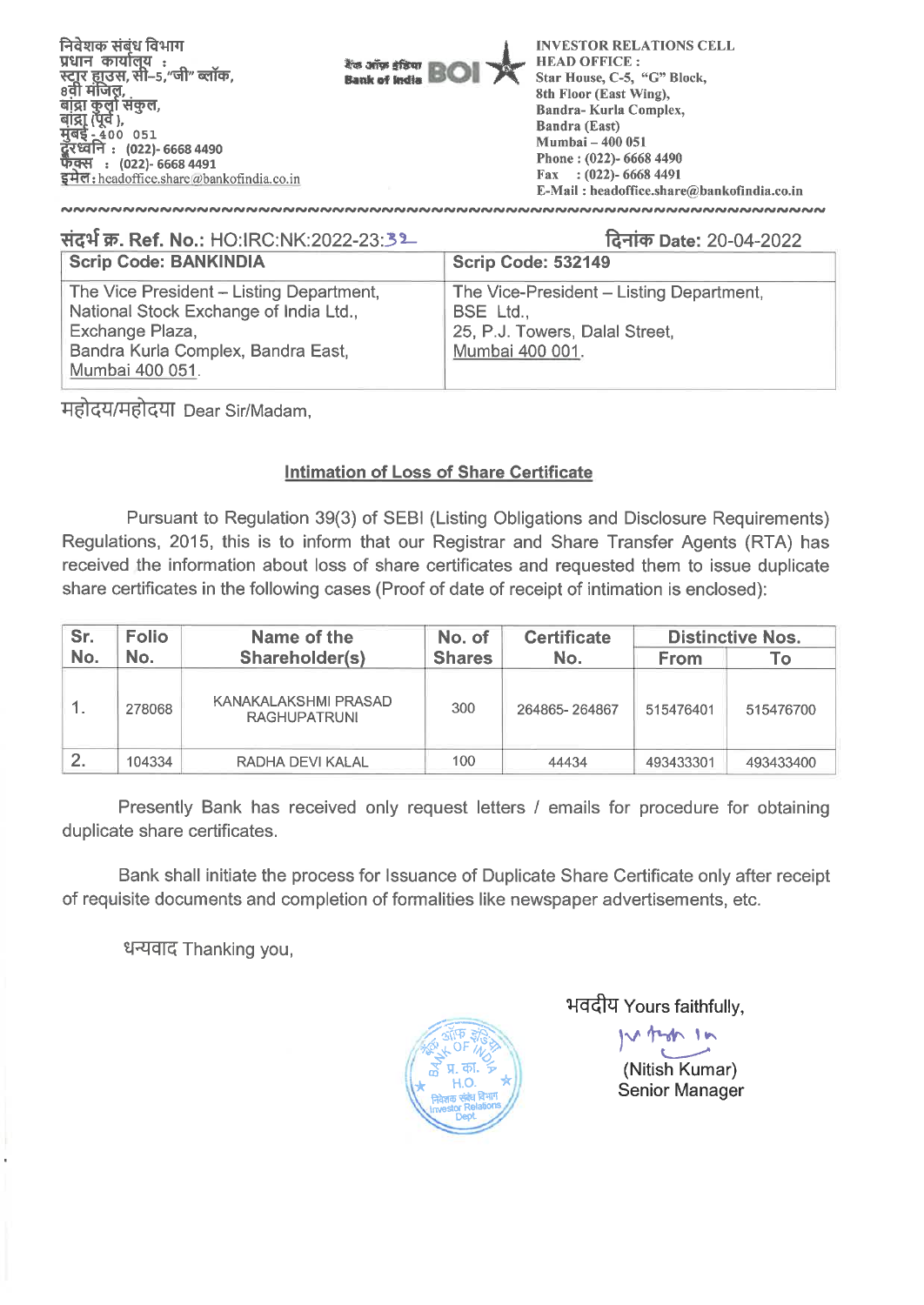

| संदर्भ क्र. Ref. No.: HO:IRC:NK:2022-23:32                                                                                                                     | दिनांक Date: 20-04-2022                                                                                    |
|----------------------------------------------------------------------------------------------------------------------------------------------------------------|------------------------------------------------------------------------------------------------------------|
| <b>Scrip Code: BANKINDIA</b>                                                                                                                                   | <b>Scrip Code: 532149</b>                                                                                  |
| The Vice President - Listing Department,<br>National Stock Exchange of India Ltd.,<br>Exchange Plaza,<br>Bandra Kurla Complex, Bandra East,<br>Mumbai 400 051. | The Vice-President - Listing Department,<br>BSE Ltd.,<br>25, P.J. Towers, Dalal Street,<br>Mumbai 400 001. |

महोदय/महोदया Dear Sir/Madam,

# **Intimation of Loss of Share Certificate**

Pursuant to Regulation 39(3) of SEBI (Listing Obligations and Disclosure Requirements) Regulations, 2015, this is to inform that our Registrar and Share Transfer Agents (RTA) has received the information about loss of share certificates and requested them to issue duplicate share certificates in the following cases (Proof of date of receipt of intimation is enclosed):

| Sr. | <b>Folio</b> | Name of the                                 | No. of        | <b>Certificate</b> | <b>Distinctive Nos.</b> |           |  |
|-----|--------------|---------------------------------------------|---------------|--------------------|-------------------------|-----------|--|
| No. | No.          | Shareholder(s)                              | <b>Shares</b> | No.                | <b>From</b>             | ۱o        |  |
|     | 278068       | KANAKALAKSHMI PRASAD<br><b>RAGHUPATRUNI</b> | 300           | 264865-264867      | 515476401               | 515476700 |  |
|     | 104334       | RADHA DEVI KALAL                            | 100           | 44434              | 493433301               | 493433400 |  |

Presently Bank has received only request letters / emails for procedure for obtaining duplicate share certificates.

Bank shall initiate the process for Issuance of Duplicate Share Certificate only after receipt of requisite documents and completion of formalities like newspaper advertisements, etc.

धन्यवाद Thanking you,



भवदीय Yours faithfully,

teren 16 (Nitish Kumar)

Senior Manager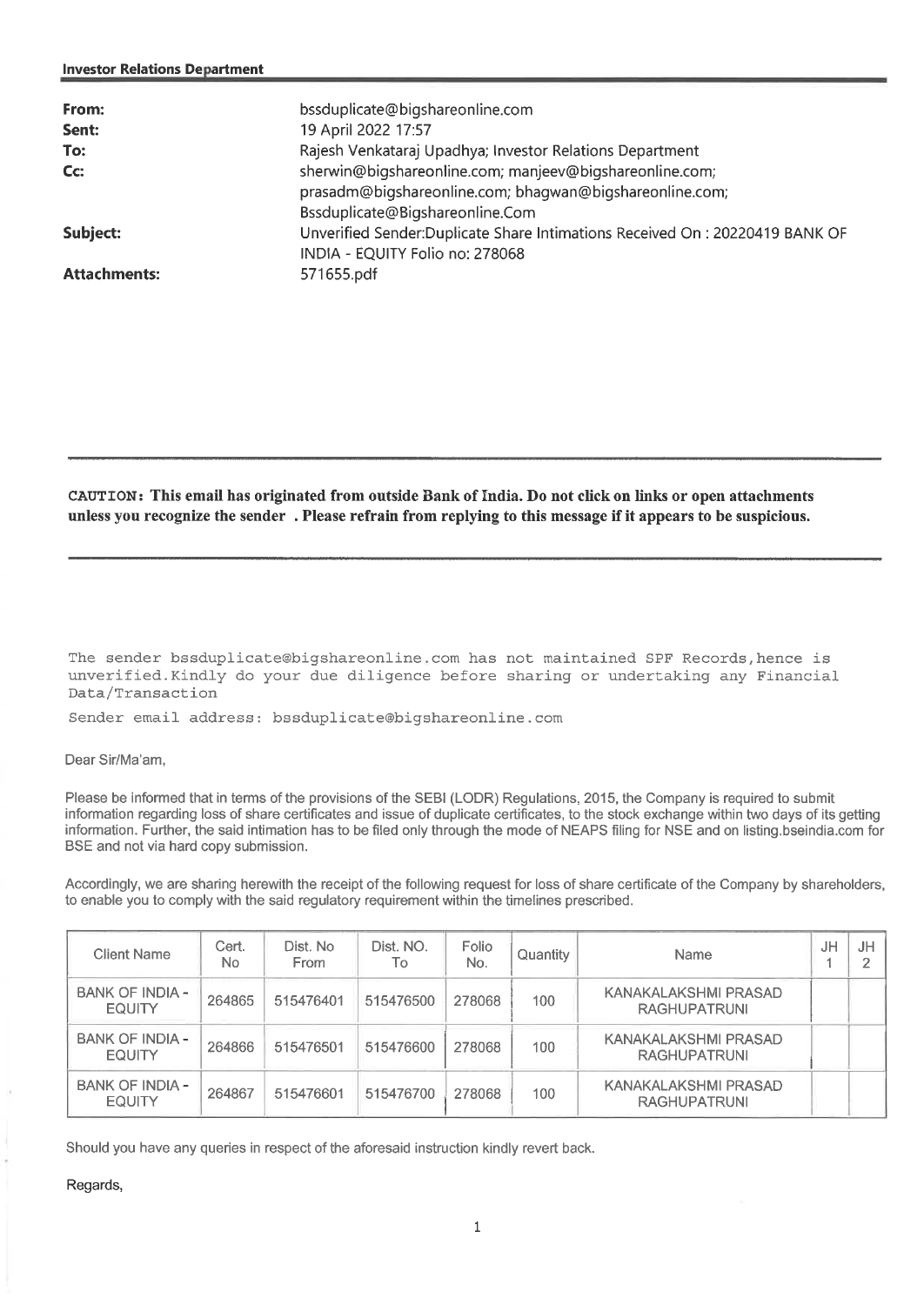| From:<br>Sent:      | bssduplicate@bigshareonline.com<br>19 April 2022 17:57                                                                                                |
|---------------------|-------------------------------------------------------------------------------------------------------------------------------------------------------|
| To:                 | Rajesh Venkataraj Upadhya; Investor Relations Department                                                                                              |
| Cc:                 | sherwin@bigshareonline.com; manjeev@bigshareonline.com;<br>prasadm@bigshareonline.com; bhagwan@bigshareonline.com;<br>Bssduplicate@Bigshareonline.Com |
| Subject:            | Unverified Sender:Duplicate Share Intimations Received On : 20220419 BANK OF<br>INDIA - EQUITY Folio no: 278068                                       |
| <b>Attachments:</b> | 571655.pdf                                                                                                                                            |

**CAUTION: This email has originated from outside Bank of India. Do not click on links or open attachments unless you recognize the sender . Please refrain from replying to this message if it appears to be suspicious.** 

The sender bssduplicate@bigshareonline.com has not maintained SPF Records,hence is unverified.Kindly do your due diligence before sharing or undertaking any Financial Data/Transaction

Sender email address: bssduplicate@bigshareonline.com

### Dear Sir/Ma'am,

Please be informed that in terms of the provisions of the SEBI (LODR) Regulations, 2015, the Company is required to submit information regarding loss of share certificates and issue of duplicate certificates, to the stock exchange within two days of its getting information. Further, the said intimation has to be filed only through the mode of NEAPS filing for NSE and on listing bseindia.com for BSE and not via hard copy submission.

Accordingly, we are sharing herewith the receipt of the following request for loss of share certificate of the Company by shareholders, to enable you to comply with the said regulatory requirement within the timelines prescribed.

| Client Name                             | Cert.<br>No. | Dist. No<br>From | Dist. NO.<br>Тo | Folio<br>No. | Quantity | <b>Name</b>                                 | JH | JH |
|-----------------------------------------|--------------|------------------|-----------------|--------------|----------|---------------------------------------------|----|----|
| BANK OF INDIA -<br><b>EQUITY</b>        | 264865       | 515476401        | 515476500       | 278068       | 100      | KANAKALAKSHMI PRASAD<br><b>RAGHUPATRUNI</b> |    |    |
| <b>BANK OF INDIA -</b><br><b>EQUITY</b> | 264866       | 515476501        | 515476600       | 278068       | 100      | KANAKALAKSHMI PRASAD<br><b>RAGHUPATRUNI</b> |    |    |
| BANK OF INDIA -<br><b>EQUITY</b>        | 264867       | 515476601        | 515476700       | 278068       | 100      | KANAKALAKSHMI PRASAD<br><b>RAGHUPATRUNI</b> |    |    |

Should you have any queries in respect of the aforesaid instruction kindly revert back.

Regards,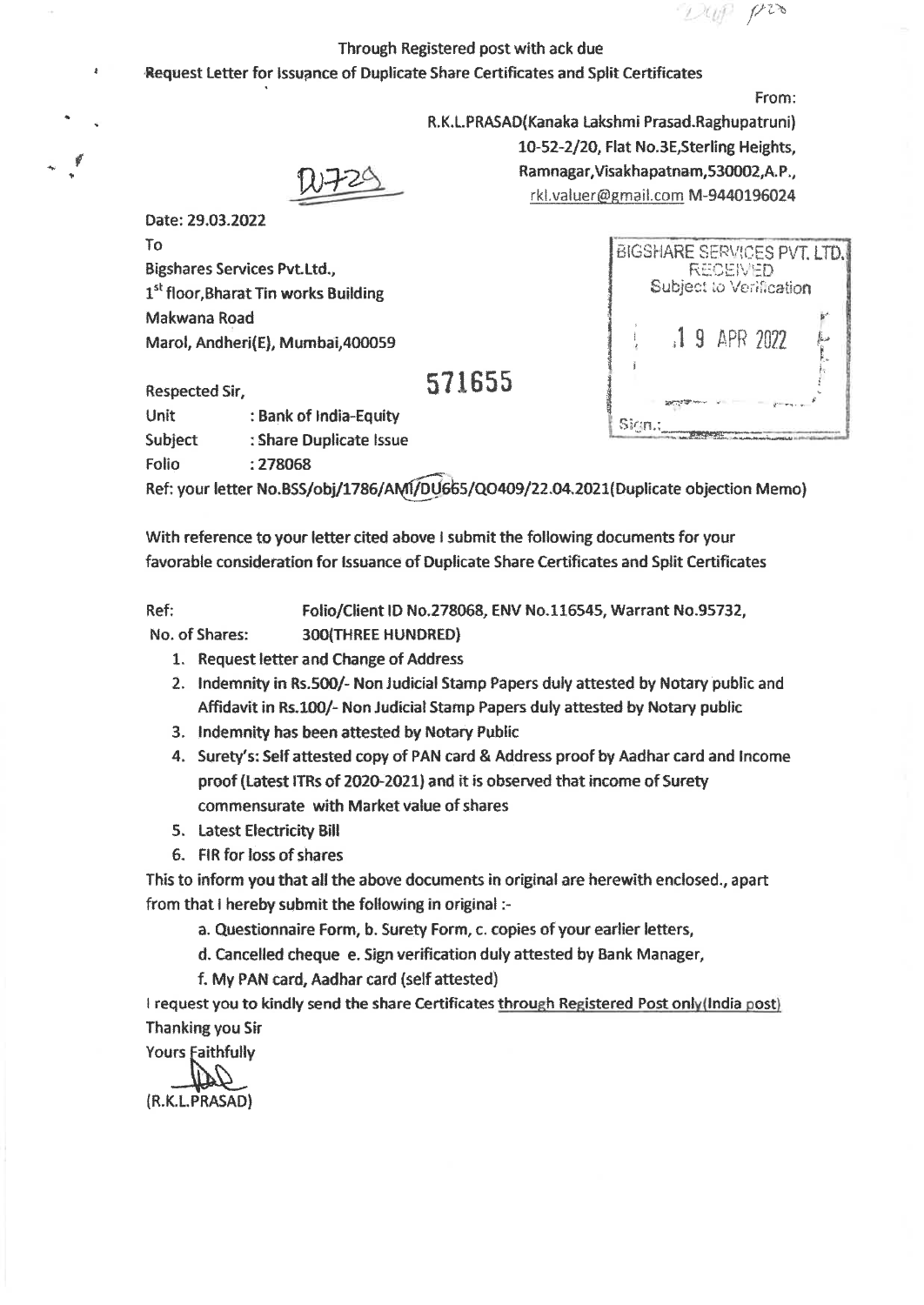$f^{\prime 2}$ 

R. K.L.PRASAD(Kanaka Lakshmi Prasad.Raghupatruni)

10-52-2/20, Flat No.3E,Sterling Heights, Ramnagar,Visakhapatnam,530002,A.P., rkl.valuer@gmail.com M-9440196024

## Through Registered post with ack due

## Request Letter for Issuance of Duplicate Share Certificates and Split Certificates

From:

Date: 29.03.2022 To Bigshares Services Pvt.Ltd., 1<sup>st</sup> floor, Bharat Tin works Building Makwana Road Marol, Andheri(E), Mumbai,400059

**571655** 

|  |                | Subject to Verification |  |
|--|----------------|-------------------------|--|
|  | $.19$ APR 2022 |                         |  |
|  |                |                         |  |

| Respected Sir, |                         |
|----------------|-------------------------|
| Unit           | : Bank of India-Equity  |
| Subject        | : Share Duplicate Issue |
| Folio          | : 278068                |

Ref: your letter No.BSS/obj/1786/AM1/DU665/QO409/22.04.2021(Duplicate objection Memo)

With reference to your letter cited above I submit the following documents for your favorable consideration for Issuance of Duplicate Share Certificates and Split Certificates

Ref: Folio/Client ID No.278068, ENV No.116545, Warrant No.95732,

No. of Shares: 300(THREE HUNDRED)

- 1. Request letter and Change of Address
- 2. Indemnity in Rs.500/- Non Judicial Stamp Papers duly attested by Notary public and Affidavit in Rs.100/- Non Judicial Stamp Papers duly attested by Notary public
- 3. Indemnity has been attested by Notary Public
- 4. Surety's: Self attested copy of PAN card & Address proof by Aadhar card and Income proof (Latest ITRs of 2020-2021) and it is observed that income of Surety commensurate with Market value of shares
- 5. Latest Electricity Bill
- 6. FIR for loss of shares

This to inform you that all the above documents in original are herewith enclosed., apart from that I hereby submit the following in original :-

a. Questionnaire Form, b. Surety Form, c. copies of your earlier letters,

d. Cancelled cheque e. Sign verification duly attested by Bank Manager,

f. My PAN card, Aadhar card (self attested)

I request you to kindly send the share Certificates through Registered Post only(India post) Thanking you Sir

Yours faithfully

(R.K.L.PRASAD)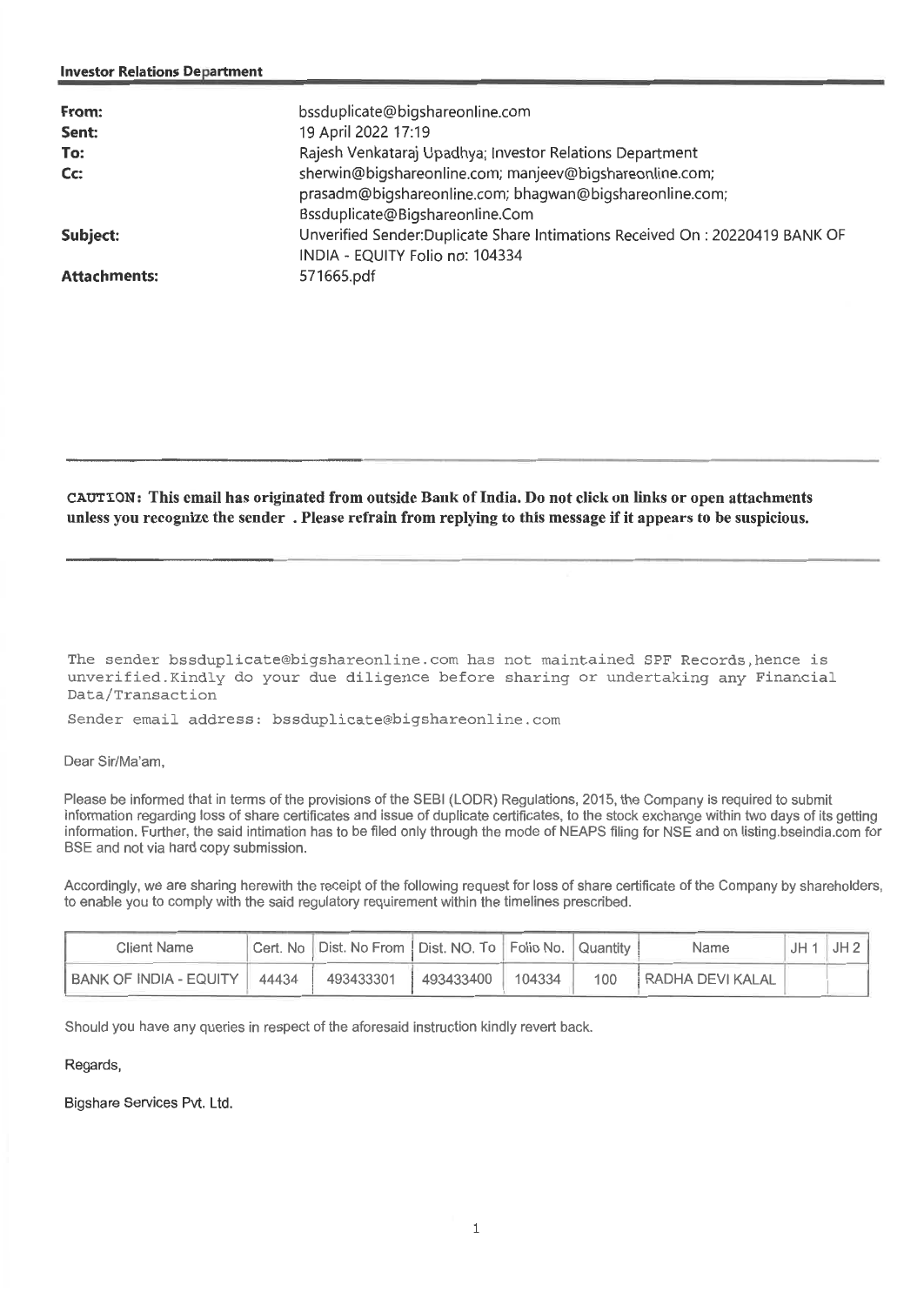### **Investor Relations Department**

| From:<br>Sent:<br>To:<br>$Cc$ : | bssduplicate@bigshareonline.com<br>19 April 2022 17:19<br>Rajesh Venkataraj Upadhya; Investor Relations Department<br>sherwin@bigshareonline.com; manjeev@bigshareonline.com; |
|---------------------------------|-------------------------------------------------------------------------------------------------------------------------------------------------------------------------------|
|                                 | prasadm@bigshareonline.com; bhagwan@bigshareonline.com;<br>Bssduplicate@Bigshareonline.Com                                                                                    |
| Subject:                        | Unverified Sender:Duplicate Share Intimations Received On : 20220419 BANK OF<br>INDIA - EQUITY Folio no: 104334                                                               |
| <b>Attachments:</b>             | 571665.pdf                                                                                                                                                                    |

**CAUTION: This email has originated from outside Bank of India. Do not click on links or open attachments unless you recognize the sender . Please refrain from replying to this message if it appears to be suspicious.** 

The sender bssduplicate@bigshareonline.com has not maintained SPF Records,hence is unverified.Kindly do your due diligence before sharing or undertaking any Financial Data/Transaction

Sender email address: bssduplicate@bigshareonline.com

### Dear Sir/Ma'am,

Please be informed that in terms of the provisions of the SEBI (LODR) Regulations, 2015, the Company is required to submit information regarding loss of share certificates and issue of duplicate certificates, to the stock exchange within two days of its getting information. Further, the said intimation has to be filed only through the mode of NEAPS filing for NSE and on listing.bseindia.comfor BSE and not via hard copy submission.

Accordingly, we are sharing herewith the receipt of the following request for loss of share certificate of the Company by shareholders, to enable you to comply with the said regulatory requirement within the timelines prescribed.

| Client Name            |       | Cert. No   Dist. No From   Dist. NO. To   Folio No.   Quantity |           |        |     | Name                    | $JH1$ JH 2 |
|------------------------|-------|----------------------------------------------------------------|-----------|--------|-----|-------------------------|------------|
| BANK OF INDIA - EQUITY | 44434 | 493433301                                                      | 493433400 | 104334 | 100 | <b>RADHA DEVI KALAL</b> |            |

Should you have any queries in respect of the aforesaid instruction kindly revert back.

## Regards,

Bigshare Services Pvt. Ltd.